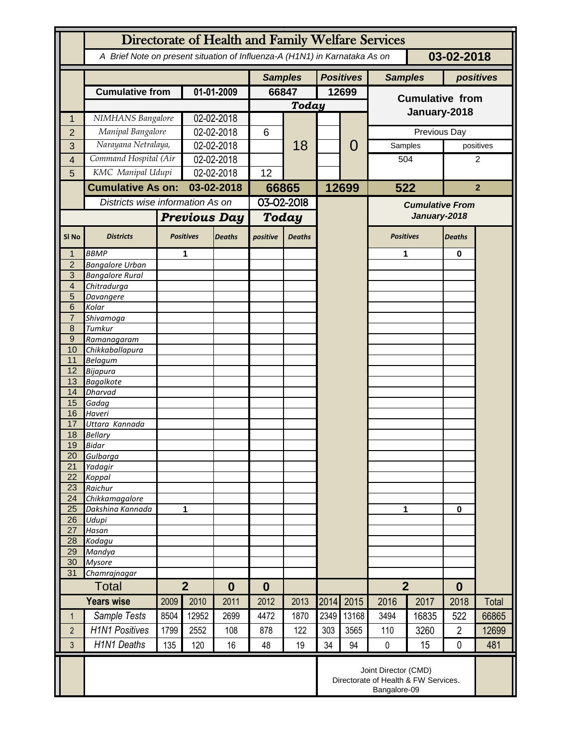|                                  | Directorate of Health and Family Welfare Services                                        |      |                                    |               |                |               |      |                  |                                        |       |                |                |  |
|----------------------------------|------------------------------------------------------------------------------------------|------|------------------------------------|---------------|----------------|---------------|------|------------------|----------------------------------------|-------|----------------|----------------|--|
|                                  | A Brief Note on present situation of Influenza-A (H1N1) in Karnataka As on<br>03-02-2018 |      |                                    |               |                |               |      |                  |                                        |       |                |                |  |
|                                  |                                                                                          |      |                                    |               | <b>Samples</b> |               |      | <b>Positives</b> | <b>Samples</b>                         |       | positives      |                |  |
|                                  | <b>Cumulative from</b>                                                                   |      | 01-01-2009                         |               | 66847          |               |      | 12699            | <b>Cumulative from</b>                 |       |                |                |  |
|                                  |                                                                                          |      |                                    |               | Today          |               |      |                  |                                        |       |                |                |  |
| 1                                | NIMHANS Bangalore                                                                        |      | 02-02-2018                         |               |                |               |      |                  | January-2018                           |       |                |                |  |
| $\overline{2}$                   | Manipal Bangalore                                                                        |      | 02-02-2018                         |               | 6              | 18            |      | 0                | Previous Day                           |       |                |                |  |
| 3                                | Narayana Netralaya,                                                                      |      | 02-02-2018                         |               |                |               |      |                  | Samples                                |       |                | positives      |  |
| 4                                | Command Hospital (Air                                                                    |      | 02-02-2018                         |               |                |               |      |                  |                                        | 504   |                | 2              |  |
| 5                                | KMC Manipal Udupi                                                                        |      | 02-02-2018                         |               | 12             |               |      |                  |                                        |       |                |                |  |
|                                  | <b>Cumulative As on:</b>                                                                 |      |                                    | 03-02-2018    |                | 66865         |      | 12699            | 522                                    |       |                | $\overline{2}$ |  |
|                                  | Districts wise information As on                                                         |      |                                    |               | 03-02-2018     |               |      |                  |                                        |       |                |                |  |
|                                  |                                                                                          |      | <b>Previous Day</b>                |               |                |               |      |                  | <b>Cumulative From</b><br>January-2018 |       |                |                |  |
|                                  |                                                                                          |      |                                    |               | Today          |               |      |                  |                                        |       |                |                |  |
| SI <sub>No</sub>                 | <b>Districts</b>                                                                         |      | <b>Positives</b>                   | <b>Deaths</b> | positive       | <b>Deaths</b> |      |                  | <b>Positives</b>                       |       | <b>Deaths</b>  |                |  |
|                                  | <b>BBMP</b>                                                                              |      | 1                                  |               |                |               |      |                  | 1                                      |       | $\bf{0}$       |                |  |
| $\overline{2}$<br>$\overline{3}$ | <b>Bangalore Urban</b>                                                                   |      |                                    |               |                |               |      |                  |                                        |       |                |                |  |
| $\overline{4}$                   | <b>Bangalore Rural</b><br>Chitradurga                                                    |      |                                    |               |                |               |      |                  |                                        |       |                |                |  |
| 5                                | Davangere                                                                                |      |                                    |               |                |               |      |                  |                                        |       |                |                |  |
| 6                                | Kolar                                                                                    |      |                                    |               |                |               |      |                  |                                        |       |                |                |  |
| $\overline{7}$                   | Shivamoga                                                                                |      |                                    |               |                |               |      |                  |                                        |       |                |                |  |
| 8                                | Tumkur                                                                                   |      |                                    |               |                |               |      |                  |                                        |       |                |                |  |
| $\overline{9}$<br>10             | Ramanagaram                                                                              |      |                                    |               |                |               |      |                  |                                        |       |                |                |  |
| 11                               | Chikkaballapura<br><b>Belagum</b>                                                        |      |                                    |               |                |               |      |                  |                                        |       |                |                |  |
| 12                               | <b>Bijapura</b>                                                                          |      |                                    |               |                |               |      |                  |                                        |       |                |                |  |
| 13                               | <b>Bagalkote</b>                                                                         |      |                                    |               |                |               |      |                  |                                        |       |                |                |  |
| 14                               | <b>Dharvad</b>                                                                           |      |                                    |               |                |               |      |                  |                                        |       |                |                |  |
| 15<br>16                         | Gadag                                                                                    |      |                                    |               |                |               |      |                  |                                        |       |                |                |  |
| 17                               | Haveri<br>Uttara Kannada                                                                 |      |                                    |               |                |               |      |                  |                                        |       |                |                |  |
| 18                               | <b>Bellary</b>                                                                           |      |                                    |               |                |               |      |                  |                                        |       |                |                |  |
| 19                               | <b>Bidar</b>                                                                             |      |                                    |               |                |               |      |                  |                                        |       |                |                |  |
| 20                               | Gulbarga                                                                                 |      |                                    |               |                |               |      |                  |                                        |       |                |                |  |
| 21                               | Yadagir                                                                                  |      |                                    |               |                |               |      |                  |                                        |       |                |                |  |
| 22<br>23                         | Koppal<br>Raichur                                                                        |      |                                    |               |                |               |      |                  |                                        |       |                |                |  |
| 24                               | Chikkamagalore                                                                           |      |                                    |               |                |               |      |                  |                                        |       |                |                |  |
| 25                               | Dakshina Kannada                                                                         | 1    |                                    |               |                |               |      |                  | 1                                      |       | $\mathbf 0$    |                |  |
| 26                               | Udupi                                                                                    |      |                                    |               |                |               |      |                  |                                        |       |                |                |  |
| 27                               | Hasan                                                                                    |      |                                    |               |                |               |      |                  |                                        |       |                |                |  |
| 28<br>29                         | Kodagu<br>Mandya                                                                         |      |                                    |               |                |               |      |                  |                                        |       |                |                |  |
| 30                               | <b>Mysore</b>                                                                            |      |                                    |               |                |               |      |                  |                                        |       |                |                |  |
| 31                               | Chamrajnagar                                                                             |      |                                    |               |                |               |      |                  |                                        |       |                |                |  |
|                                  | <b>Total</b>                                                                             |      | $\overline{2}$<br>$\boldsymbol{0}$ |               | $\bf{0}$       |               |      |                  | $\overline{2}$                         |       | $\bf{0}$       |                |  |
|                                  | <b>Years wise</b>                                                                        | 2009 | 2010                               | 2011          | 2012           | 2013          | 2014 | 2015             | 2016                                   | 2017  | 2018           | Total          |  |
| 1                                | Sample Tests                                                                             | 8504 | 12952                              | 2699          | 4472           | 1870          | 2349 | 13168            | 3494                                   | 16835 | 522            | 66865          |  |
| $\overline{2}$                   | <b>H1N1 Positives</b>                                                                    | 1799 | 2552                               | 108           | 878            | 122           | 303  | 3565             | 110                                    | 3260  | $\overline{2}$ | 12699          |  |
| 3                                | <b>H1N1 Deaths</b>                                                                       | 135  | 120                                | 16            | 48             | 19            | 34   | 94               | $\pmb{0}$                              | 15    | $\mathbf 0$    | 481            |  |
|                                  | Joint Director (CMD)<br>Directorate of Health & FW Services.<br>Bangalore-09             |      |                                    |               |                |               |      |                  |                                        |       |                |                |  |